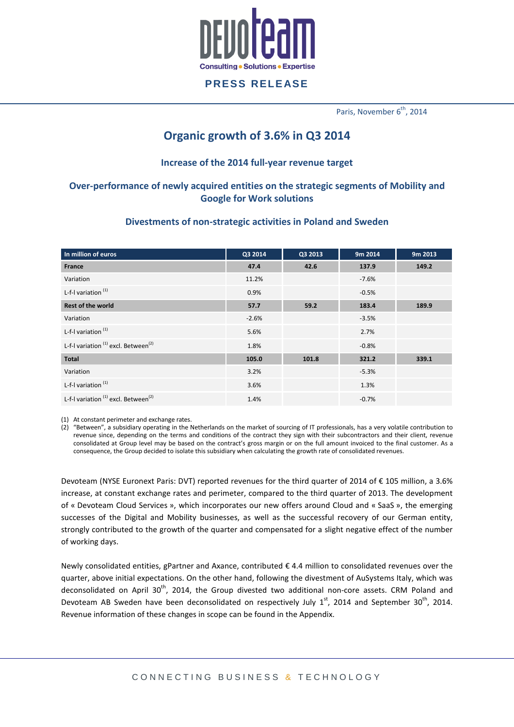

Paris, November 6<sup>th</sup>, 2014

# **Organic growth of 3.6% in Q3 2014**

#### **Increase of the 2014 full-year revenue target**

# **Over-performance of newly acquired entities on the strategic segments of Mobility and Google for Work solutions**

#### **Divestments of non-strategic activities in Poland and Sweden**

| In million of euros                                         | Q3 2014 | Q3 2013 | 9m 2014 | 9m 2013 |
|-------------------------------------------------------------|---------|---------|---------|---------|
| France                                                      | 47.4    | 42.6    | 137.9   | 149.2   |
| Variation                                                   | 11.2%   |         | $-7.6%$ |         |
| L-f-I variation $(1)$                                       | 0.9%    |         | $-0.5%$ |         |
| <b>Rest of the world</b>                                    | 57.7    | 59.2    | 183.4   | 189.9   |
| Variation                                                   | $-2.6%$ |         | $-3.5%$ |         |
| L-f-I variation <sup>(1)</sup>                              | 5.6%    |         | 2.7%    |         |
| L-f-I variation <sup>(1)</sup> excl. Between <sup>(2)</sup> | 1.8%    |         | $-0.8%$ |         |
| <b>Total</b>                                                | 105.0   | 101.8   | 321.2   | 339.1   |
| Variation                                                   | 3.2%    |         | $-5.3%$ |         |
| L-f-I variation <sup>(1)</sup>                              | 3.6%    |         | 1.3%    |         |
| L-f-I variation <sup>(1)</sup> excl. Between <sup>(2)</sup> | 1.4%    |         | $-0.7%$ |         |

(1) At constant perimeter and exchange rates.

(2) "Between", a subsidiary operating in the Netherlands on the market of sourcing of IT professionals, has a very volatile contribution to revenue since, depending on the terms and conditions of the contract they sign with their subcontractors and their client, revenue consolidated at Group level may be based on the contract's gross margin or on the full amount invoiced to the final customer. As a consequence, the Group decided to isolate this subsidiary when calculating the growth rate of consolidated revenues.

Devoteam (NYSE Euronext Paris: DVT) reported revenues for the third quarter of 2014 of € 105 million, a 3.6% increase, at constant exchange rates and perimeter, compared to the third quarter of 2013. The development of « Devoteam Cloud Services », which incorporates our new offers around Cloud and « SaaS », the emerging successes of the Digital and Mobility businesses, as well as the successful recovery of our German entity, strongly contributed to the growth of the quarter and compensated for a slight negative effect of the number of working days.

Newly consolidated entities, gPartner and Axance, contributed € 4.4 million to consolidated revenues over the quarter, above initial expectations. On the other hand, following the divestment of AuSystems Italy, which was deconsolidated on April 30<sup>th</sup>, 2014, the Group divested two additional non-core assets. CRM Poland and Devoteam AB Sweden have been deconsolidated on respectively July  $1<sup>st</sup>$ , 2014 and September 30<sup>th</sup>, 2014. Revenue information of these changes in scope can be found in the Appendix.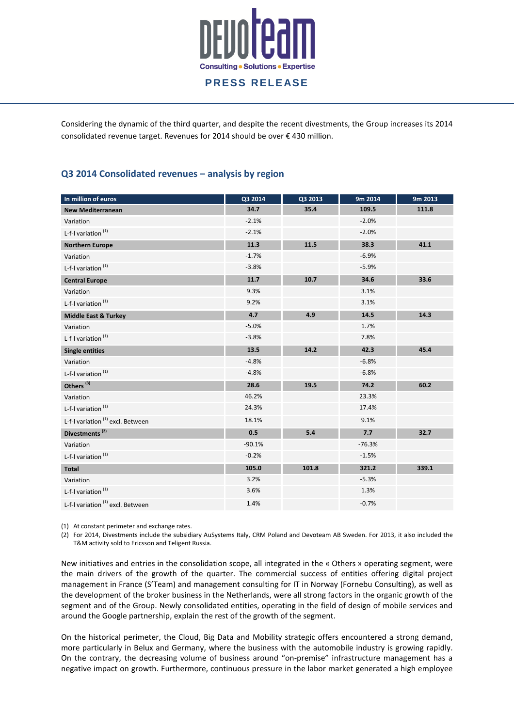

Considering the dynamic of the third quarter, and despite the recent divestments, the Group increases its 2014 consolidated revenue target. Revenues for 2014 should be over € 430 million.

### **Q3 2014 Consolidated revenues – analysis by region**

| In million of euros                          | Q3 2014  | Q3 2013 | 9m 2014  | 9m 2013 |
|----------------------------------------------|----------|---------|----------|---------|
| <b>New Mediterranean</b>                     | 34.7     | 35.4    | 109.5    | 111.8   |
| Variation                                    | $-2.1%$  |         | $-2.0%$  |         |
| L-f-I variation <sup>(1)</sup>               | $-2.1%$  |         | $-2.0%$  |         |
| <b>Northern Europe</b>                       | 11.3     | 11.5    | 38.3     | 41.1    |
| Variation                                    | $-1.7%$  |         | $-6.9%$  |         |
| L-f-I variation <sup>(1)</sup>               | $-3.8%$  |         | $-5.9%$  |         |
| <b>Central Europe</b>                        | 11.7     | 10.7    | 34.6     | 33.6    |
| Variation                                    | 9.3%     |         | 3.1%     |         |
| L-f-I variation <sup>(1)</sup>               | 9.2%     |         | 3.1%     |         |
| <b>Middle East &amp; Turkey</b>              | 4.7      | 4.9     | 14.5     | 14.3    |
| Variation                                    | $-5.0%$  |         | 1.7%     |         |
| L-f-I variation <sup>(1)</sup>               | $-3.8%$  |         | 7.8%     |         |
| <b>Single entities</b>                       | 13.5     | 14.2    | 42.3     | 45.4    |
| Variation                                    | $-4.8%$  |         | $-6.8%$  |         |
| L-f-I variation <sup>(1)</sup>               | $-4.8%$  |         | $-6.8%$  |         |
| Others <sup>(3)</sup>                        | 28.6     | 19.5    | 74.2     | 60.2    |
| Variation                                    | 46.2%    |         | 23.3%    |         |
| L-f-I variation <sup>(1)</sup>               | 24.3%    |         | 17.4%    |         |
| L-f-I variation <sup>(1)</sup> excl. Between | 18.1%    |         | 9.1%     |         |
| Divestments <sup>(2)</sup>                   | 0.5      | 5.4     | 7.7      | 32.7    |
| Variation                                    | $-90.1%$ |         | $-76.3%$ |         |
| L-f-I variation <sup>(1)</sup>               | $-0.2%$  |         | $-1.5%$  |         |
| Total                                        | 105.0    | 101.8   | 321.2    | 339.1   |
| Variation                                    | 3.2%     |         | $-5.3%$  |         |
| L-f-I variation $(1)$                        | 3.6%     |         | 1.3%     |         |
| L-f-I variation <sup>(1)</sup> excl. Between | 1.4%     |         | $-0.7%$  |         |

(1) At constant perimeter and exchange rates.

(2) For 2014, Divestments include the subsidiary AuSystems Italy, CRM Poland and Devoteam AB Sweden. For 2013, it also included the T&M activity sold to Ericsson and Teligent Russia.

New initiatives and entries in the consolidation scope, all integrated in the « Others » operating segment, were the main drivers of the growth of the quarter. The commercial success of entities offering digital project management in France (S'Team) and management consulting for IT in Norway (Fornebu Consulting), as well as the development of the broker business in the Netherlands, were all strong factors in the organic growth of the segment and of the Group. Newly consolidated entities, operating in the field of design of mobile services and around the Google partnership, explain the rest of the growth of the segment.

On the historical perimeter, the Cloud, Big Data and Mobility strategic offers encountered a strong demand, more particularly in Belux and Germany, where the business with the automobile industry is growing rapidly. On the contrary, the decreasing volume of business around "on-premise" infrastructure management has a negative impact on growth. Furthermore, continuous pressure in the labor market generated a high employee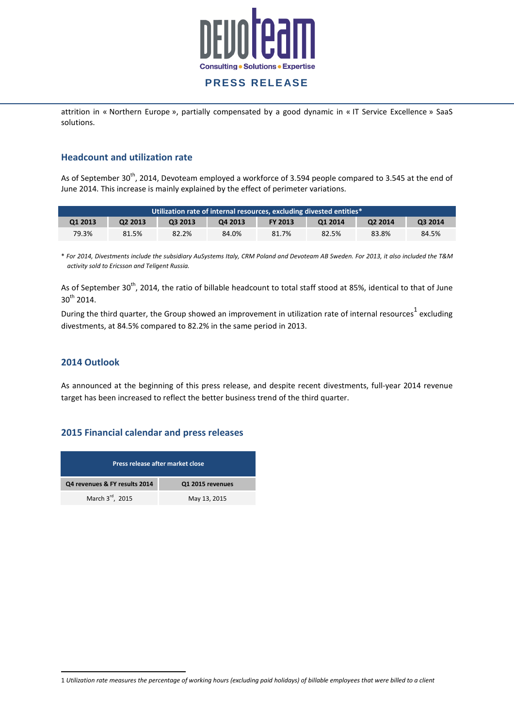

attrition in « Northern Europe », partially compensated by a good dynamic in « IT Service Excellence » SaaS solutions.

#### **Headcount and utilization rate**

As of September 30<sup>th</sup>, 2014, Devoteam employed a workforce of 3.594 people compared to 3.545 at the end of June 2014. This increase is mainly explained by the effect of perimeter variations.

| Utilization rate of internal resources, excluding divested entities* |         |         |         |                |         |                     |         |
|----------------------------------------------------------------------|---------|---------|---------|----------------|---------|---------------------|---------|
| <b>Q1 2013</b>                                                       | Q2 2013 | 03 2013 | Q4 2013 | <b>FY 2013</b> | 01 2014 | O <sub>2</sub> 2014 | O3 2014 |
| 79.3%                                                                | 81.5%   | 82.2%   | 84.0%   | 81.7%          | 82.5%   | 83.8%               | 84.5%   |

\* *For 2014, Divestments include the subsidiary AuSystems Italy, CRM Poland and Devoteam AB Sweden. For 2013, it also included the T&M activity sold to Ericsson and Teligent Russia.* 

As of September 30<sup>th</sup>, 2014, the ratio of billable headcount to total staff stood at 85%, identical to that of June 30<sup>th</sup> 2014.

During the third quarter, the Group showed an improvement in utilization rate of internal resources<sup>1</sup> excluding divestments, at 84.5% compared to 82.2% in the same period in 2013.

#### **2014 Outlook**

 $\overline{a}$ 

As announced at the beginning of this press release, and despite recent divestments, full-year 2014 revenue target has been increased to reflect the better business trend of the third quarter.

#### **2015 Financial calendar and press releases**

| Press release after market close |                  |  |  |  |  |  |
|----------------------------------|------------------|--|--|--|--|--|
| Q4 revenues & FY results 2014    | Q1 2015 revenues |  |  |  |  |  |
| March 3 <sup>rd</sup> , 2015     | May 13, 2015     |  |  |  |  |  |

<sup>1</sup> *Utilization rate measures the percentage of working hours (excluding paid holidays) of billable employees that were billed to a client*